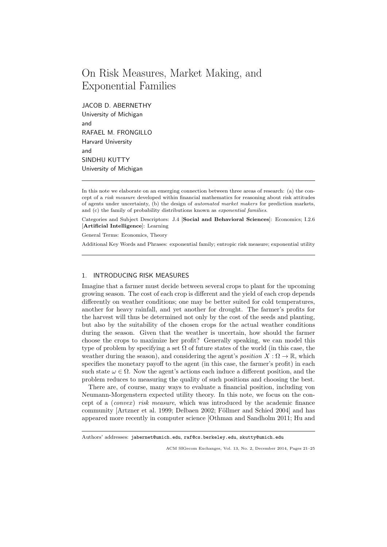# On Risk Measures, Market Making, and Exponential Families

JACOB D. ABERNETHY University of Michigan and RAFAEL M. FRONGILLO Harvard University and SINDHU KUTTY University of Michigan

Categories and Subject Descriptors: J.4 [Social and Behavioral Sciences]: Economics; I.2.6 [Artificial Intelligence]: Learning

General Terms: Economics, Theory

Additional Key Words and Phrases: exponential family; entropic risk measure; exponential utility

## 1. INTRODUCING RISK MEASURES

Imagine that a farmer must decide between several crops to plant for the upcoming growing season. The cost of each crop is different and the yield of each crop depends differently on weather conditions; one may be better suited for cold temperatures, another for heavy rainfall, and yet another for drought. The farmer's profits for the harvest will thus be determined not only by the cost of the seeds and planting, but also by the suitability of the chosen crops for the actual weather conditions during the season. Given that the weather is uncertain, how should the farmer choose the crops to maximize her profit? Generally speaking, we can model this type of problem by specifying a set  $\Omega$  of future states of the world (in this case, the weather during the season), and considering the agent's *position*  $X : \Omega \to \mathbb{R}$ , which specifies the monetary payoff to the agent (in this case, the farmer's profit) in each such state  $\omega \in \Omega$ . Now the agent's actions each induce a different position, and the problem reduces to measuring the quality of such positions and choosing the best.

There are, of course, many ways to evaluate a financial position, including von Neumann-Morgenstern expected utility theory. In this note, we focus on the concept of a  $(convex)$  risk measure, which was introduced by the academic finance community [Artzner et al. 1999; Delbaen 2002; Föllmer and Schied 2004] and has appeared more recently in computer science [Othman and Sandholm 2011; Hu and

In this note we elaborate on an emerging connection between three areas of research: (a) the concept of a risk measure developed within financial mathematics for reasoning about risk attitudes of agents under uncertainty, (b) the design of automated market makers for prediction markets, and (c) the family of probability distributions known as exponential families.

Authors' addresses: jabernet@umich.edu, raf@cs.berkeley.edu, skutty@umich.edu

ACM SIGecom Exchanges, Vol. 13, No. 2, December 2014, Pages 21–25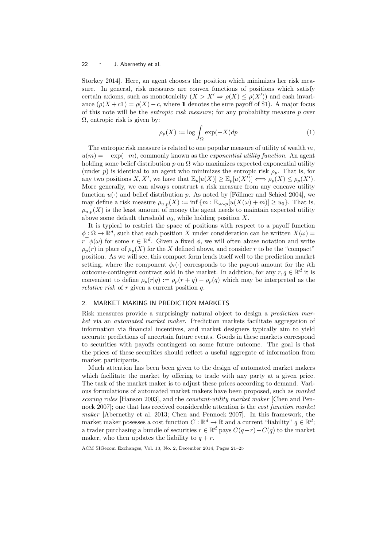#### 22 · J. Abernethy et al.

Storkey 2014]. Here, an agent chooses the position which minimizes her risk measure. In general, risk measures are convex functions of positions which satisfy certain axioms, such as monotonicity  $(X > X' \Rightarrow \rho(X) \leq \rho(X'))$  and cash invariance  $(\rho(X + c1) = \rho(X) - c$ , where 1 denotes the sure payoff of \$1). A major focus of this note will be the *entropic risk measure*; for any probability measure  $p$  over  $\Omega$ , entropic risk is given by:

$$
\rho_p(X) := \log \int_{\Omega} \exp(-X) dp \tag{1}
$$

The entropic risk measure is related to one popular measure of utility of wealth  $m$ ,  $u(m) = -\exp(-m)$ , commonly known as the *exponential utility function*. An agent holding some belief distribution p on  $\Omega$  who maximizes expected exponential utility (under p) is identical to an agent who minimizes the entropic risk  $\rho_p$ . That is, for any two positions X, X', we have that  $\mathbb{E}_p[u(X)] \geq \mathbb{E}_p[u(X')] \Longleftrightarrow \rho_p(X) \leq \rho_p(X')$ . More generally, we can always construct a risk measure from any concave utility function  $u(\cdot)$  and belief distribution p. As noted by [Föllmer and Schied 2004], we may define a risk measure  $\rho_{u,p}(X) := \inf \{m : \mathbb{E}_{\omega \sim p}[u(X(\omega) + m)] \ge u_0\}.$  That is,  $\rho_{u,p}(X)$  is the least amount of money the agent needs to maintain expected utility above some default threshold  $u_0$ , while holding position X.

It is typical to restrict the space of positions with respect to a payoff function  $\phi: \Omega \to \mathbb{R}^d$ , such that each position X under consideration can be written  $X(\omega)$  $r^{\top}\phi(\omega)$  for some  $r \in \mathbb{R}^d$ . Given a fixed  $\phi$ , we will often abuse notation and write  $\rho_p(r)$  in place of  $\rho_p(X)$  for the X defined above, and consider r to be the "compact" position. As we will see, this compact form lends itself well to the prediction market setting, where the component  $\phi_i(\cdot)$  corresponds to the payout amount for the *i*th outcome-contingent contract sold in the market. In addition, for any  $r, q \in \mathbb{R}^d$  it is convenient to define  $\rho_p(r|q) := \rho_p(r+q) - \rho_p(q)$  which may be interpreted as the *relative risk* of  $r$  given a current position  $q$ .

#### 2. MARKET MAKING IN PREDICTION MARKETS

Risk measures provide a surprisingly natural object to design a *prediction mar*ket via an automated market maker. Prediction markets facilitate aggregation of information via financial incentives, and market designers typically aim to yield accurate predictions of uncertain future events. Goods in these markets correspond to securities with payoffs contingent on some future outcome. The goal is that the prices of these securities should reflect a useful aggregate of information from market participants.

Much attention has been been given to the design of automated market makers which facilitate the market by offering to trade with any party at a given price. The task of the market maker is to adjust these prices according to demand. Various formulations of automated market makers have been proposed, such as market scoring rules [Hanson 2003], and the *constant-utility market maker* [Chen and Pennock 2007]; one that has received considerable attention is the cost function market maker [Abernethy et al. 2013; Chen and Pennock 2007]. In this framework, the market maker posesses a cost function  $C: \mathbb{R}^d \to \mathbb{R}$  and a current "liability"  $q \in \mathbb{R}^d$ ; a trader purchasing a bundle of securities  $r \in \mathbb{R}^d$  pays  $C(q+r) - C(q)$  to the market maker, who then updates the liability to  $q + r$ .

ACM SIGecom Exchanges, Vol. 13, No. 2, December 2014, Pages 21–25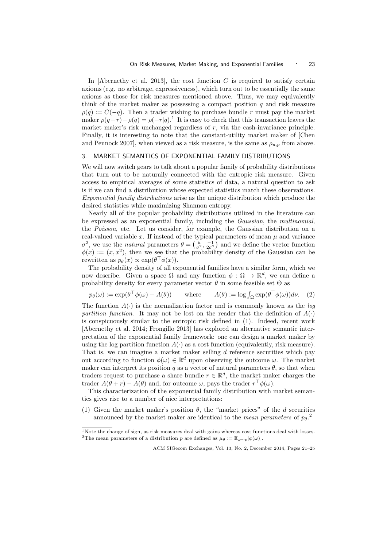In [Abernethy et al. 2013], the cost function  $C$  is required to satisfy certain axioms (e.g. no arbitrage, expressiveness), which turn out to be essentially the same axioms as those for risk measures mentioned above. Thus, we may equivalently think of the market maker as possessing a compact position  $q$  and risk measure  $\rho(q) := C(-q)$ . Then a trader wishing to purchase bundle r must pay the market maker  $\rho(q-r) - \rho(q) = \rho(-r|q)$ .<sup>1</sup> It is easy to check that this transaction leaves the market maker's risk unchanged regardless of  $r$ , via the cash-invariance principle. Finally, it is interesting to note that the constant-utility market maker of [Chen and Pennock 2007], when viewed as a risk measure, is the same as  $\rho_{u,p}$  from above.

### 3. MARKET SEMANTICS OF EXPONENTIAL FAMILY DISTRIBUTIONS

We will now switch gears to talk about a popular family of probability distributions that turn out to be naturally connected with the entropic risk measure. Given access to empirical averages of some statistics of data, a natural question to ask is if we can find a distribution whose expected statistics match these observations. Exponential family distributions arise as the unique distribution which produce the desired statistics while maximizing Shannon entropy.

Nearly all of the popular probability distributions utilized in the literature can be expressed as an exponential family, including the Gaussian, the multinomial, the Poisson, etc. Let us consider, for example, the Gaussian distribution on a real-valued variable x. If instead of the typical parameters of mean  $\mu$  and variance  $\sigma^2$ , we use the *natural* parameters  $\theta = \left(\frac{\mu}{\sigma^2}, \frac{-1}{2\sigma^2}\right)$  and we define the vector function  $\phi(x) := (x, x^2)$ , then we see that the probability density of the Gaussian can be rewritten as  $p_{\theta}(x) \propto \exp(\theta^{\top} \phi(x)).$ 

The probability density of all exponential families have a similar form, which we now describe. Given a space  $\Omega$  and any function  $\phi : \Omega \to \mathbb{R}^d$ , we can define a probability density for every parameter vector  $\theta$  in some feasible set  $\Theta$  as

$$
p_{\theta}(\omega) := \exp(\theta^{\top} \phi(\omega) - A(\theta)) \quad \text{where} \quad A(\theta) := \log \int_{\Omega} \exp(\theta^{\top} \phi(\omega)) d\nu. \tag{2}
$$

The function  $A(\cdot)$  is the normalization factor and is commonly known as the *log* partition function. It may not be lost on the reader that the definition of  $A(\cdot)$ is conspicuously similar to the entropic risk defined in (1). Indeed, recent work [Abernethy et al. 2014; Frongillo 2013] has explored an alternative semantic interpretation of the exponential family framework: one can design a market maker by using the log partition function  $A(\cdot)$  as a cost function (equivalently, risk measure). That is, we can imagine a market maker selling d reference securities which pay out according to function  $\phi(\omega) \in \mathbb{R}^d$  upon observing the outcome  $\omega$ . The market maker can interpret its position q as a vector of natural parameters  $\theta$ , so that when traders request to purchase a share bundle  $r \in \mathbb{R}^d$ , the market maker charges the trader  $A(\theta + r) - A(\theta)$  and, for outcome  $\omega$ , pays the trader  $r^{\top}\phi(\omega)$ .

This characterization of the exponential family distribution with market semantics gives rise to a number of nice interpretations:

(1) Given the market maker's position  $\theta$ , the "market prices" of the d securities announced by the market maker are identical to the mean parameters of  $p_{\theta}$ <sup>2</sup>.

<sup>&</sup>lt;sup>1</sup>Note the change of sign, as risk measures deal with gains whereas cost functions deal with losses. <sup>2</sup>The mean parameters of a distribution p are defined as  $\mu_{\theta} := \mathbb{E}_{\omega \sim p}[\phi(\omega)].$ 

ACM SIGecom Exchanges, Vol. 13, No. 2, December 2014, Pages 21–25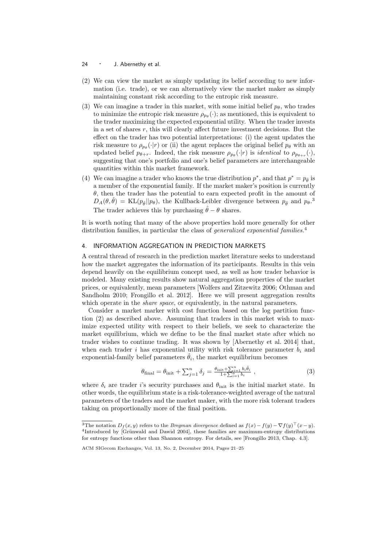- 24 · J. Abernethy et al.
- (2) We can view the market as simply updating its belief according to new information (i.e. trade), or we can alternatively view the market maker as simply maintaining constant risk according to the entropic risk measure.
- (3) We can imagine a trader in this market, with some initial belief  $p_{\theta}$ , who trades to minimize the entropic risk measure  $\rho_{p\theta}(\cdot)$ ; as mentioned, this is equivalent to the trader maximizing the expected exponential utility. When the trader invests in a set of shares r, this will clearly affect future investment decisions. But the effect on the trader has two potential interpretations: (i) the agent updates the risk measure to  $\rho_{p_\theta}(\cdot|r)$  or (ii) the agent replaces the original belief  $p_\theta$  with an updated belief  $p_{\theta+r}$ . Indeed, the risk measure  $\rho_{p_\theta}(\cdot|r)$  is *identical* to  $\rho_{p_{\theta+r}}(\cdot)$ , suggesting that one's portfolio and one's belief parameters are interchangeable quantities within this market framework.
- (4) We can imagine a trader who knows the true distribution  $p^*$ , and that  $p^* = p_\theta$  is a member of the exponential family. If the market maker's position is currently  $\theta$ , then the trader has the potential to earn expected profit in the amount of  $D_A(\theta, \hat{\theta}) = \text{KL}(p_{\hat{\theta}} || p_{\theta})$ , the Kullback-Leibler divergence between  $p_{\hat{\theta}}$  and  $p_{\theta}$ . The trader achieves this by purchasing  $\hat{\theta} - \theta$  shares.

It is worth noting that many of the above properties hold more generally for other distribution families, in particular the class of *generalized exponential families*.<sup>4</sup>

#### 4. INFORMATION AGGREGATION IN PREDICTION MARKETS

A central thread of research in the prediction market literature seeks to understand how the market aggregates the information of its participants. Results in this vein depend heavily on the equilibrium concept used, as well as how trader behavior is modeled. Many existing results show natural aggregation properties of the market prices, or equivalently, mean parameters [Wolfers and Zitzewitz 2006; Othman and Sandholm 2010; Frongillo et al. 2012]. Here we will present aggregation results which operate in the *share space*, or equivalently, in the natural parameters.

Consider a market marker with cost function based on the log partition function (2) as described above. Assuming that traders in this market wish to maximize expected utility with respect to their beliefs, we seek to characterize the market equilibrium, which we define to be the final market state after which no trader wishes to continue trading. It was shown by [Abernethy et al. 2014] that, when each trader i has exponential utility with risk tolerance parameter  $b_i$  and exponential-family belief parameters  $\hat{\theta}_i$ , the market equilibrium becomes

$$
\theta_{\text{final}} = \theta_{\text{init}} + \sum_{j=1}^{n} \delta_j = \frac{\theta_{\text{init}} + \sum_{i=1}^{n} b_i \hat{\theta}_i}{1 + \sum_{i=1}^{n} b_i},
$$
\n(3)

where  $\delta_i$  are trader i's security purchases and  $\theta_{\text{init}}$  is the initial market state. In other words, the equilibrium state is a risk-tolerance-weighted average of the natural parameters of the traders and the market maker, with the more risk tolerant traders taking on proportionally more of the final position.

<sup>&</sup>lt;sup>3</sup>The notation  $D_f(x, y)$  refers to the *Bregman divergence* defined as  $f(x) - f(y) - \nabla f(y)^\top (x - y)$ . <sup>4</sup>Introduced by [Grünwald and Dawid 2004], these families are maximum-entropy distributions for entropy functions other than Shannon entropy. For details, see [Frongillo 2013, Chap. 4.3].

ACM SIGecom Exchanges, Vol. 13, No. 2, December 2014, Pages 21–25